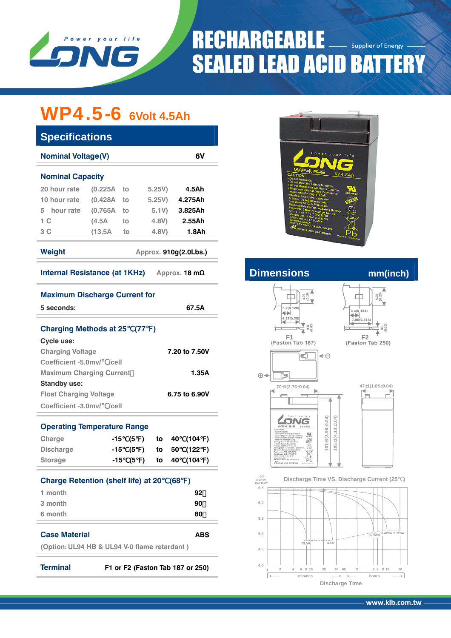

## **RECHARGEABLE Supplier of Energy SEALED LEAD ACID BATTERY**

# WP4.5-6 **6Volt 4.5Ah**

| <b>Specifications</b>           |          |    |                       |                 |                                                                                                                                                                                                                       |                       |
|---------------------------------|----------|----|-----------------------|-----------------|-----------------------------------------------------------------------------------------------------------------------------------------------------------------------------------------------------------------------|-----------------------|
| <b>Nominal Voltage(V)</b><br>6V |          |    |                       |                 | Power your life                                                                                                                                                                                                       |                       |
| <b>Nominal Capacity</b>         |          |    |                       |                 | <b>WP4.5-6</b><br><b>CAUTION</b><br>. Do not incinerate<br>- Do not short the battery terminals.                                                                                                                      | 6V 4.5Ah              |
| 20 hour rate                    | (0.225A) | to | 5.25V                 | 4.5Ah           | - Do not charge in a gas tight container.<br>- Flush with water at once if contact is<br>made with electrolyte (Acid)                                                                                                 | 50<br><b>MH16982</b>  |
| 10 hour rate                    | (0.428A) | to | 5.25V                 | 4.275Ah         | Warning: Risk of fire, explosion,<br>or burns. Do not disassemble,<br>heat above 60°C, or incinerate                                                                                                                  | <b>OSTO</b>           |
| hour rate<br>5.                 | (0.765A) | to | 5.1V                  | 3.825Ah         | Rechargeable Sealed Lead-Acid Battery<br><b>Recruit State State State State State</b><br>Cycle use : 6.2017.50 (2006)<br>Standby use : 6.75-7.50 (2006)<br>Initial current : 1.35A MAX<br>Initial current : 1.35A MAX | \$                    |
| 1 C                             | (4.5A)   | to | 4.8V)                 | 2.55Ah          | NOWSPILLABLE<br>BATTERY MUST BE RECYCLED                                                                                                                                                                              |                       |
| 3 <sup>C</sup>                  | (13.5A)  | to | 4.8V)                 | 1.8Ah           | KUNG LONG BATTERIES                                                                                                                                                                                                   | PЬ<br>Made In Vietnam |
| Weight                          |          |    | Approx. 910g(2.0Lbs.) |                 |                                                                                                                                                                                                                       |                       |
| Internal Resistance (at 1KHz)   |          |    |                       | Approx. 18 $mΩ$ | <b>Dimensions</b>                                                                                                                                                                                                     | mm(inch)              |

| <b>Maximum Discharge Current for</b> |  |  |
|--------------------------------------|--|--|

| 5 seconds:                                                                         |                                                    |  |  |    |    | 67.5A         |  |  |
|------------------------------------------------------------------------------------|----------------------------------------------------|--|--|----|----|---------------|--|--|
| Charging Methods at 25 (77)                                                        |                                                    |  |  |    |    |               |  |  |
| <b>Cycle use:</b>                                                                  |                                                    |  |  |    |    |               |  |  |
| <b>Charging Voltage</b>                                                            |                                                    |  |  |    |    | 7.20 to 7.50V |  |  |
| Coefficient -5.0mv/ /cell                                                          |                                                    |  |  |    |    |               |  |  |
| <b>Maximum Charging Current</b>                                                    |                                                    |  |  |    |    | 1.35A         |  |  |
| <b>Standby use:</b>                                                                |                                                    |  |  |    |    |               |  |  |
| <b>Float Charging Voltage</b>                                                      |                                                    |  |  |    |    | 6.75 to 6.90V |  |  |
| Coefficient -3.0mv/ /cell                                                          |                                                    |  |  |    |    |               |  |  |
| <b>Operating Temperature Range</b>                                                 |                                                    |  |  |    |    |               |  |  |
| Charge                                                                             | $-15(5)$                                           |  |  | to | 40 | (104)         |  |  |
| <b>Discharge</b>                                                                   | -15 (5 )                                           |  |  | to | 50 | (122)         |  |  |
| <b>Storage</b>                                                                     | -15 (5 )                                           |  |  | to | 40 | (104)         |  |  |
|                                                                                    | <b>Charge Retention (shelf life) at 20</b><br>(68) |  |  |    |    |               |  |  |
| 1 month                                                                            |                                                    |  |  |    |    | 92            |  |  |
| 3 month                                                                            |                                                    |  |  |    |    | 90            |  |  |
| 6 month                                                                            |                                                    |  |  |    |    | 80            |  |  |
| <b>Case Material</b><br><b>ABS</b><br>(Option: UL94 HB & UL94 V-0 flame retardant) |                                                    |  |  |    |    |               |  |  |
| <b>Terminal</b><br>F1 or F2 (Faston Tab 187 or 250)                                |                                                    |  |  |    |    |               |  |  |